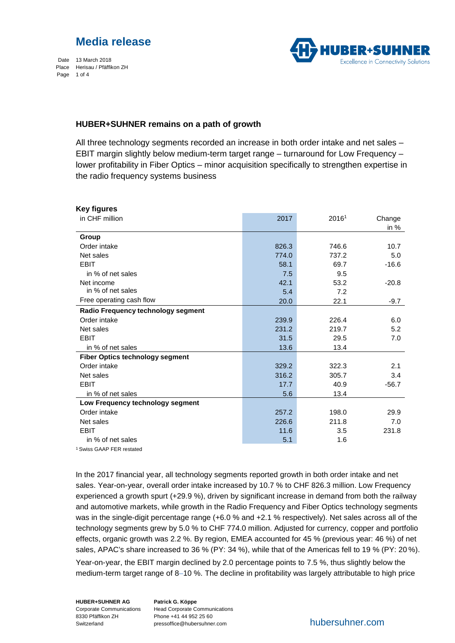# **Media release**

Date 13 March 2018 Place Herisau / Pfäffikon ZH Page 1 of 4



# **HUBER+SUHNER remains on a path of growth**

All three technology segments recorded an increase in both order intake and net sales – EBIT margin slightly below medium-term target range – turnaround for Low Frequency – lower profitability in Fiber Optics – minor acquisition specifically to strengthen expertise in the radio frequency systems business

| <b>Key figures</b>                     |       |       |         |
|----------------------------------------|-------|-------|---------|
| in CHF million                         | 2017  | 20161 | Change  |
|                                        |       |       | in $%$  |
| Group                                  |       |       |         |
| Order intake                           | 826.3 | 746.6 | 10.7    |
| Net sales                              | 774.0 | 737.2 | 5.0     |
| <b>EBIT</b>                            | 58.1  | 69.7  | $-16.6$ |
| in % of net sales                      | 7.5   | 9.5   |         |
| Net income                             | 42.1  | 53.2  | $-20.8$ |
| in % of net sales                      | 5.4   | 7.2   |         |
| Free operating cash flow               | 20.0  | 22.1  | $-9.7$  |
| Radio Frequency technology segment     |       |       |         |
| Order intake                           | 239.9 | 226.4 | 6.0     |
| Net sales                              | 231.2 | 219.7 | 5.2     |
| <b>EBIT</b>                            | 31.5  | 29.5  | 7.0     |
| in % of net sales                      | 13.6  | 13.4  |         |
| <b>Fiber Optics technology segment</b> |       |       |         |
| Order intake                           | 329.2 | 322.3 | 2.1     |
| Net sales                              | 316.2 | 305.7 | 3.4     |
| <b>EBIT</b>                            | 17.7  | 40.9  | $-56.7$ |
| in % of net sales                      | 5.6   | 13.4  |         |
| Low Frequency technology segment       |       |       |         |
| Order intake                           | 257.2 | 198.0 | 29.9    |
| Net sales                              | 226.6 | 211.8 | 7.0     |
| <b>EBIT</b>                            | 11.6  | 3.5   | 231.8   |
| in % of net sales                      | 5.1   | 1.6   |         |
| <sup>1</sup> Swiss GAAP FER restated   |       |       |         |

In the 2017 financial year, all technology segments reported growth in both order intake and net sales. Year-on-year, overall order intake increased by 10.7 % to CHF 826.3 million. Low Frequency experienced a growth spurt (+29.9 %), driven by significant increase in demand from both the railway and automotive markets, while growth in the Radio Frequency and Fiber Optics technology segments was in the single-digit percentage range (+6.0 % and +2.1 % respectively). Net sales across all of the technology segments grew by 5.0 % to CHF 774.0 million. Adjusted for currency, copper and portfolio effects, organic growth was 2.2 %. By region, EMEA accounted for 45 % (previous year: 46 %) of net sales, APAC's share increased to 36 % (PY: 34 %), while that of the Americas fell to 19 % (PY: 20 %).

Year-on-year, the EBIT margin declined by 2.0 percentage points to 7.5 %, thus slightly below the medium-term target range of 8–10 %. The decline in profitability was largely attributable to high price

**HUBER+SUHNER AG** Corporate Communications 8330 Pfäffikon ZH Switzerland

**Patrick G. Köppe** Head Corporate Communications Phone +41 44 952 25 60 pressoffice@hubersuhner.com hubersuhner.com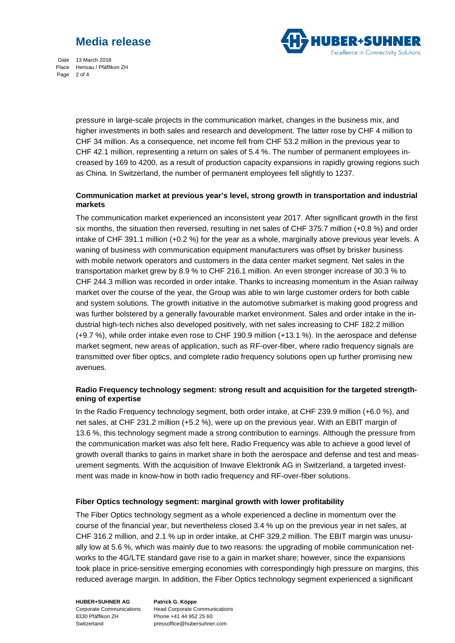# **Media release**



Date 13 March 2018 Place Herisau / Pfäffikon ZH Page 2 of 4

> pressure in large-scale projects in the communication market, changes in the business mix, and higher investments in both sales and research and development. The latter rose by CHF 4 million to CHF 34 million. As a consequence, net income fell from CHF 53.2 million in the previous year to CHF 42.1 million, representing a return on sales of 5.4 %. The number of permanent employees increased by 169 to 4200, as a result of production capacity expansions in rapidly growing regions such as China. In Switzerland, the number of permanent employees fell slightly to 1237.

# **Communication market at previous year's level, strong growth in transportation and industrial markets**

The communication market experienced an inconsistent year 2017. After significant growth in the first six months, the situation then reversed, resulting in net sales of CHF 375.7 million (+0.8 %) and order intake of CHF 391.1 million (+0.2 %) for the year as a whole, marginally above previous year levels. A waning of business with communication equipment manufacturers was offset by brisker business with mobile network operators and customers in the data center market segment. Net sales in the transportation market grew by 8.9 % to CHF 216.1 million. An even stronger increase of 30.3 % to CHF 244.3 million was recorded in order intake. Thanks to increasing momentum in the Asian railway market over the course of the year, the Group was able to win large customer orders for both cable and system solutions. The growth initiative in the automotive submarket is making good progress and was further bolstered by a generally favourable market environment. Sales and order intake in the industrial high-tech niches also developed positively, with net sales increasing to CHF 182.2 million (+9.7 %), while order intake even rose to CHF 190.9 million (+13.1 %). In the aerospace and defense market segment, new areas of application, such as RF-over-fiber, where radio frequency signals are transmitted over fiber optics, and complete radio frequency solutions open up further promising new avenues.

# **Radio Frequency technology segment: strong result and acquisition for the targeted strengthening of expertise**

In the Radio Frequency technology segment, both order intake, at CHF 239.9 million (+6.0 %), and net sales, at CHF 231.2 million (+5.2 %), were up on the previous year. With an EBIT margin of 13.6 %, this technology segment made a strong contribution to earnings. Although the pressure from the communication market was also felt here, Radio Frequency was able to achieve a good level of growth overall thanks to gains in market share in both the aerospace and defense and test and measurement segments. With the acquisition of Inwave Elektronik AG in Switzerland, a targeted investment was made in know-how in both radio frequency and RF-over-fiber solutions.

# **Fiber Optics technology segment: marginal growth with lower profitability**

The Fiber Optics technology segment as a whole experienced a decline in momentum over the course of the financial year, but nevertheless closed 3.4 % up on the previous year in net sales, at CHF 316.2 million, and 2.1 % up in order intake, at CHF 329.2 million. The EBIT margin was unusually low at 5.6 %, which was mainly due to two reasons: the upgrading of mobile communication networks to the 4G/LTE standard gave rise to a gain in market share; however, since the expansions took place in price-sensitive emerging economies with correspondingly high pressure on margins, this reduced average margin. In addition, the Fiber Optics technology segment experienced a significant

**HUBER+SUHNER AG** Corporate Communications 8330 Pfäffikon ZH Switzerland

**Patrick G. Köppe** Head Corporate Communications Phone +41 44 952 25 60 pressoffice@hubersuhner.com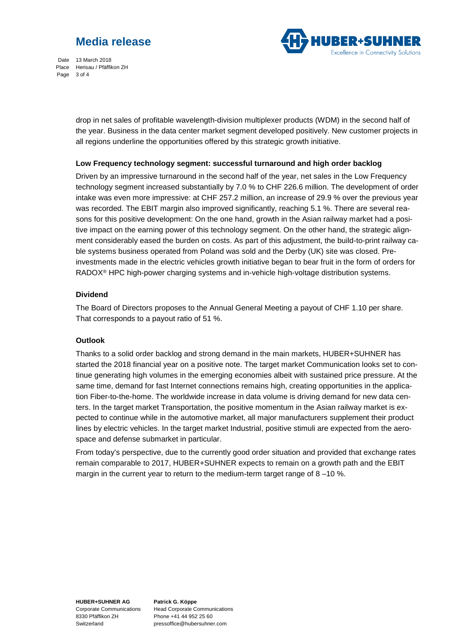# **Media release**



Date 13 March 2018 Place Herisau / Pfäffikon ZH Page 3 of 4

> drop in net sales of profitable wavelength-division multiplexer products (WDM) in the second half of the year. Business in the data center market segment developed positively. New customer projects in all regions underline the opportunities offered by this strategic growth initiative.

# **Low Frequency technology segment: successful turnaround and high order backlog**

Driven by an impressive turnaround in the second half of the year, net sales in the Low Frequency technology segment increased substantially by 7.0 % to CHF 226.6 million. The development of order intake was even more impressive: at CHF 257.2 million, an increase of 29.9 % over the previous year was recorded. The EBIT margin also improved significantly, reaching 5.1 %. There are several reasons for this positive development: On the one hand, growth in the Asian railway market had a positive impact on the earning power of this technology segment. On the other hand, the strategic alignment considerably eased the burden on costs. As part of this adjustment, the build-to-print railway cable systems business operated from Poland was sold and the Derby (UK) site was closed. Preinvestments made in the electric vehicles growth initiative began to bear fruit in the form of orders for RADOX® HPC high-power charging systems and in-vehicle high-voltage distribution systems.

#### **Dividend**

The Board of Directors proposes to the Annual General Meeting a payout of CHF 1.10 per share. That corresponds to a payout ratio of 51 %.

# **Outlook**

Thanks to a solid order backlog and strong demand in the main markets, HUBER+SUHNER has started the 2018 financial year on a positive note. The target market Communication looks set to continue generating high volumes in the emerging economies albeit with sustained price pressure. At the same time, demand for fast Internet connections remains high, creating opportunities in the application Fiber-to-the-home. The worldwide increase in data volume is driving demand for new data centers. In the target market Transportation, the positive momentum in the Asian railway market is expected to continue while in the automotive market, all major manufacturers supplement their product lines by electric vehicles. In the target market Industrial, positive stimuli are expected from the aerospace and defense submarket in particular.

From today's perspective, due to the currently good order situation and provided that exchange rates remain comparable to 2017, HUBER+SUHNER expects to remain on a growth path and the EBIT margin in the current year to return to the medium-term target range of  $8 - 10$ %.

**HUBER+SUHNER AG** Corporate Communications 8330 Pfäffikon ZH Switzerland

**Patrick G. Köppe** Head Corporate Communications Phone +41 44 952 25 60 pressoffice@hubersuhner.com